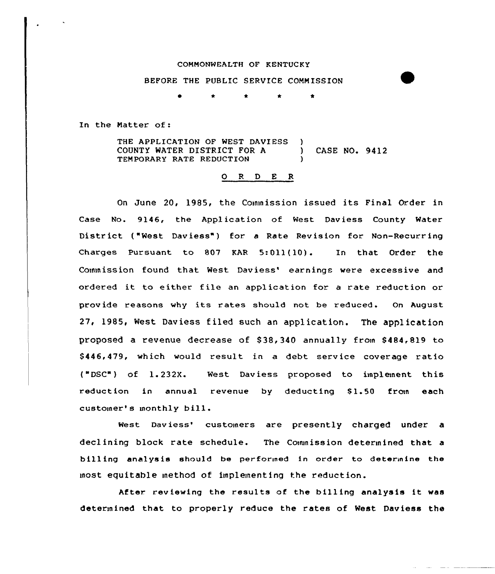## COMMONWEALTH OF KENTUCKY

## BEFORE THE PUBLIC SERVICE COMM ISSION

\* \* \* \*

In the Natter of:

THE APPLICATION OF WEST DAVIESS )<br>COUNTY WATER DISTRICT FOR A COUNTY WATER DISTRICT FOR <sup>A</sup> ) CASE NO. 9412 TEMPORARY RATE REDUCTION )

## 0 <sup>R</sup> <sup>D</sup> E <sup>R</sup>

On June 20, 1985, the Commission issued its Final Order in Case No. 9146, the Application of West Daviess County Water District {"Nest Daviess") for <sup>a</sup> Rate Revision for Non-Recurring Charges Pursuant to <sup>807</sup> RAR 5:011{10) . In that Order the Commission found that West Daviess' earnings were excessive and ordered it to either file an application for <sup>a</sup> rate reduction or provide reasons why its rates should not be reduced. On August 27, 1985, West Daviess filed such an application, The application proposed a revenue decrease of 838, 340 annually from 8484,819 to \$446,479, which would result in a debt service coverage ratio {"DSC") of 1.232X. West Daviess proposed to implement this reduction in annual revenue by deducting \$1.50 from each customer's monthly bill.

West Daviess' customers are presently charged under a declining block rate schedule. The Commission determined that a billing analysis should be performed in order to determine the most equitable method of implementing the reduction.

After reviewing the results of the billing analysis it was determined that to properly reduce the rates of West Daviess the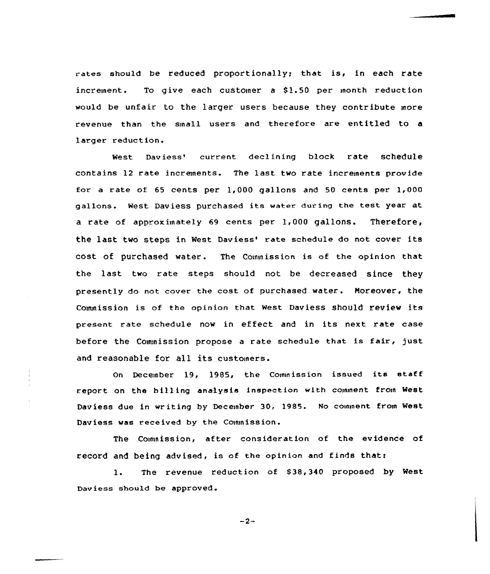rates should be reduced proportionally; that is, in each rate  $increment.$  To give each customer a \$1.50 per month reduction would be unfair to the larger users because they contribute more revenue than the small users and therefore are entitled to a larger reduct ion.

West Daviess' current declining block rate schedule contains 12 rate increments. The last two rate increments provide for a rate of 65 cents per 1,000 gallons and 50 cents per 1,000 gallons. West Daviess purchased its watex dux ing the test year at a rate of approximately 69 cents per 1,000 gallons. Therefore, the last two steps in West Daviess' rate schedule do not cover its cost of purchased water. The Commission is of the opinion that the last two rate steps should not be decreased since they presently do not cover the cost of purchased water. Moreover, the Connnission is of the opinion that west Daviess should review its present rate schedule now in effect and in its next rate case before the Commission propose <sup>a</sup> rate schedule that is fair, just and reasonable for all its customers.

On December 19, 1985, the Commission issued its staff report on the billing analysis inspection with comment from West Daviess due in writing by Deceinber 30, 1985. No coinment from West Daviess was received by the Commission.

The Commission, after consideration of the evidence of record and being advised, is of the opinion and finds that:

1. The revenue reduction of \$38,340 proposed by West Daviess should be approved.

 $-2-$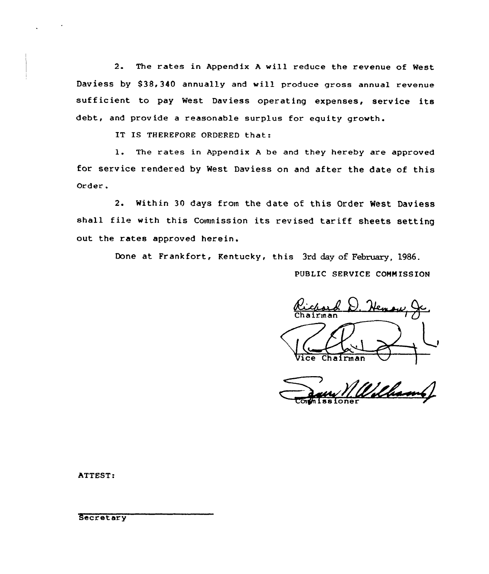2. The rates in Appendix <sup>A</sup> will reduce the revenue of West Daviess by \$38,340 annually and will produce gross annual revenue sufficient to pay West Daviess operating expenses, service its debt, and provide a reasonable surplus for equity growth.

IT IS THEREFORE ORDERED that:

1. The rates in Appendix <sup>A</sup> be and they hereby are approved for service rendered by West Daviess on and after the date of this Order .

2. within 30 days from the date of this Order West Daviess shall file with this Commission its revised tariff sheets setting out the rates approved herein.

Done at Frankfort, Kentucky, this 3rd day of February, 1986.

PUBLIC SERVICE CONN ISSION

Heney 1 Vice Chairman

Wilham

ATTEST:

**Secretary**